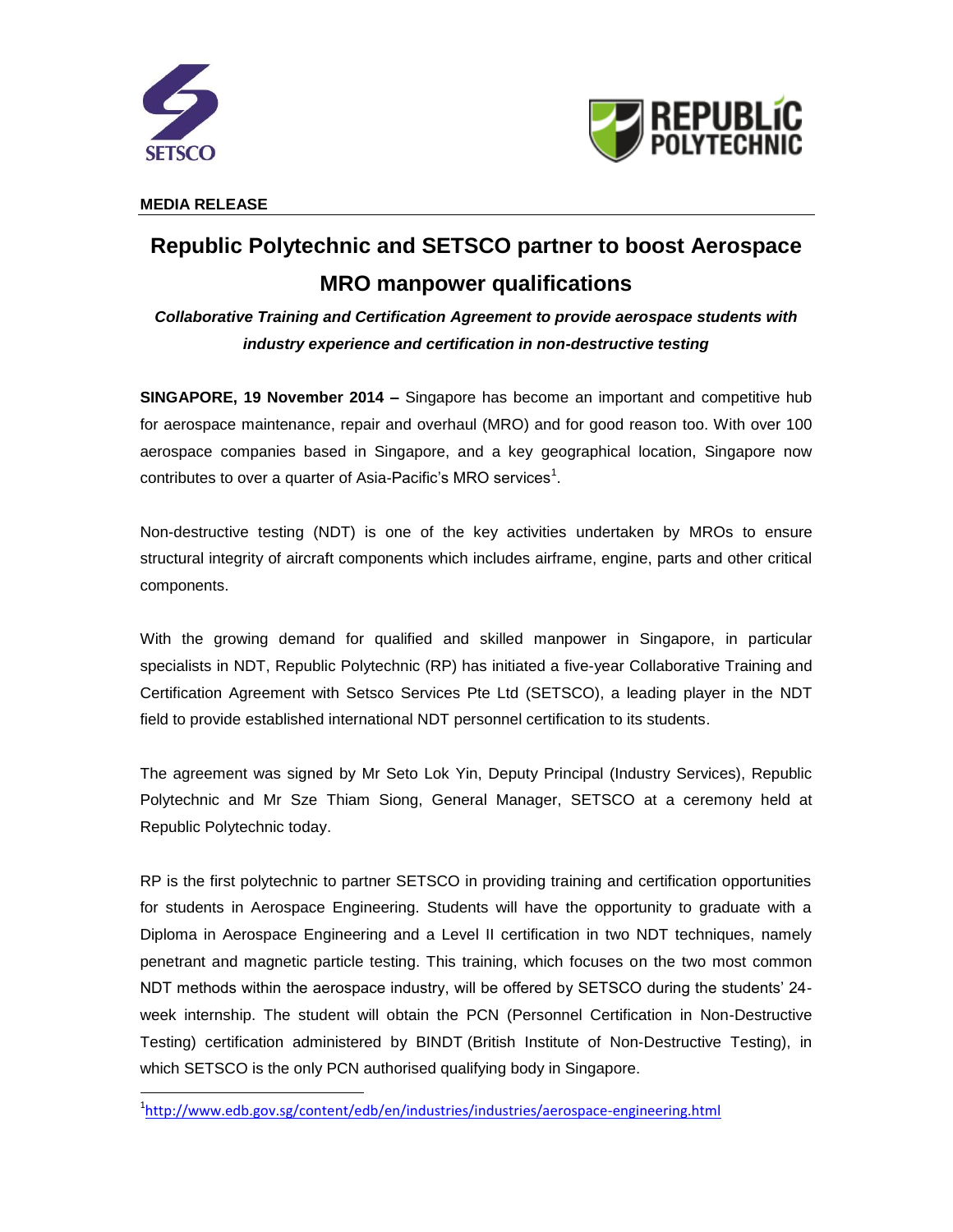

 $\overline{\phantom{a}}$ 



**MEDIA RELEASE**

# **Republic Polytechnic and SETSCO partner to boost Aerospace MRO manpower qualifications**

*Collaborative Training and Certification Agreement to provide aerospace students with industry experience and certification in non-destructive testing*

**SINGAPORE, 19 November 2014 –** Singapore has become an important and competitive hub for aerospace maintenance, repair and overhaul (MRO) and for good reason too. With over 100 aerospace companies based in Singapore, and a key geographical location, Singapore now contributes to over a quarter of Asia-Pacific's MRO services<sup>1</sup>.

Non-destructive testing (NDT) is one of the key activities undertaken by MROs to ensure structural integrity of aircraft components which includes airframe, engine, parts and other critical components.

With the growing demand for qualified and skilled manpower in Singapore, in particular specialists in NDT, Republic Polytechnic (RP) has initiated a five-year Collaborative Training and Certification Agreement with Setsco Services Pte Ltd (SETSCO), a leading player in the NDT field to provide established international NDT personnel certification to its students.

The agreement was signed by Mr Seto Lok Yin, Deputy Principal (Industry Services), Republic Polytechnic and Mr Sze Thiam Siong, General Manager, SETSCO at a ceremony held at Republic Polytechnic today.

RP is the first polytechnic to partner SETSCO in providing training and certification opportunities for students in Aerospace Engineering. Students will have the opportunity to graduate with a Diploma in Aerospace Engineering and a Level II certification in two NDT techniques, namely penetrant and magnetic particle testing. This training, which focuses on the two most common NDT methods within the aerospace industry, will be offered by SETSCO during the students' 24 week internship. The student will obtain the PCN (Personnel Certification in Non-Destructive Testing) certification administered by BINDT (British Institute of Non-Destructive Testing), in which SETSCO is the only PCN authorised qualifying body in Singapore.

<sup>&</sup>lt;sup>1</sup><http://www.edb.gov.sg/content/edb/en/industries/industries/aerospace-engineering.html>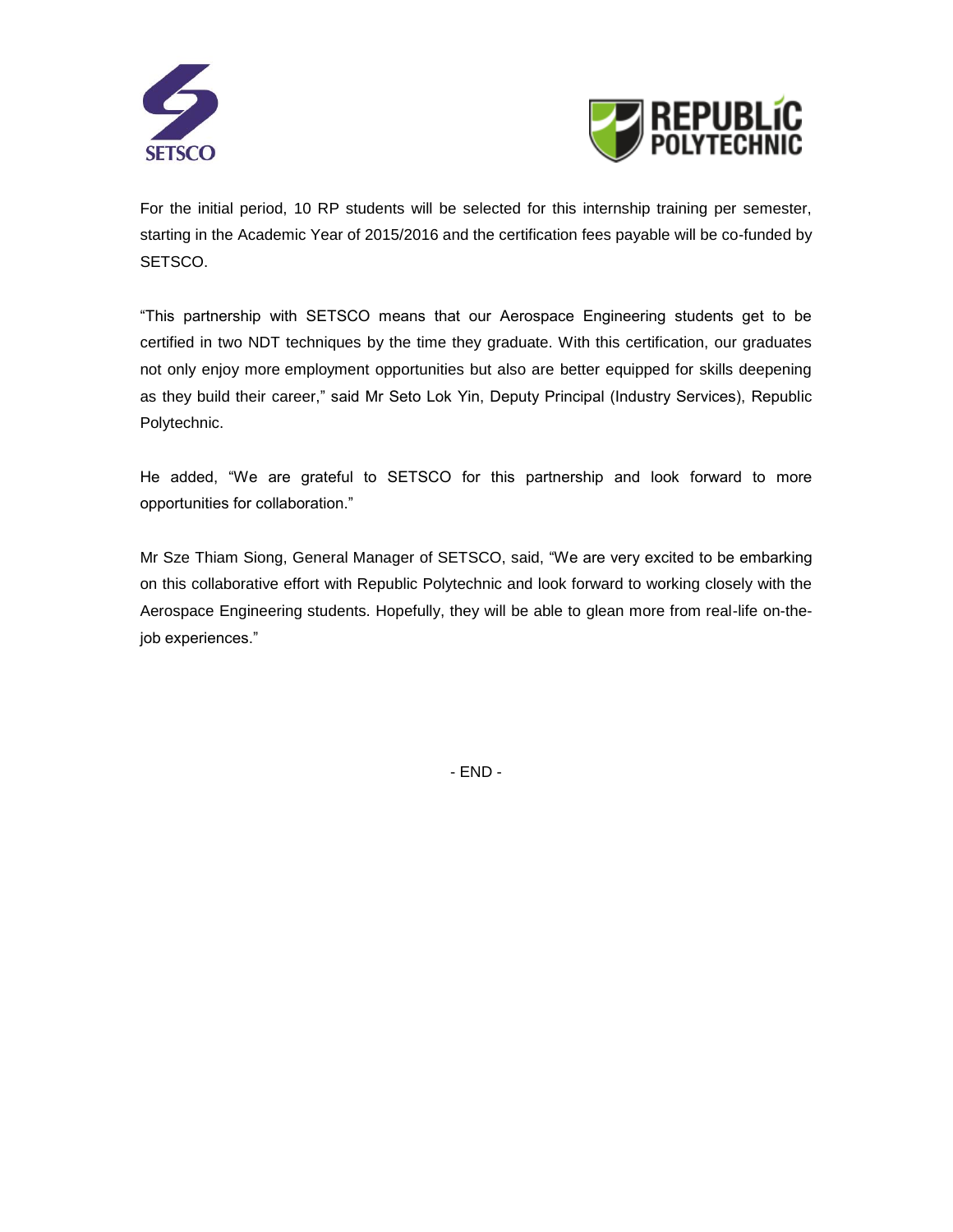



For the initial period, 10 RP students will be selected for this internship training per semester, starting in the Academic Year of 2015/2016 and the certification fees payable will be co-funded by SETSCO.

"This partnership with SETSCO means that our Aerospace Engineering students get to be certified in two NDT techniques by the time they graduate. With this certification, our graduates not only enjoy more employment opportunities but also are better equipped for skills deepening as they build their career," said Mr Seto Lok Yin, Deputy Principal (Industry Services), Republic Polytechnic.

He added, "We are grateful to SETSCO for this partnership and look forward to more opportunities for collaboration."

Mr Sze Thiam Siong, General Manager of SETSCO, said, "We are very excited to be embarking on this collaborative effort with Republic Polytechnic and look forward to working closely with the Aerospace Engineering students. Hopefully, they will be able to glean more from real-life on-thejob experiences."

- END -